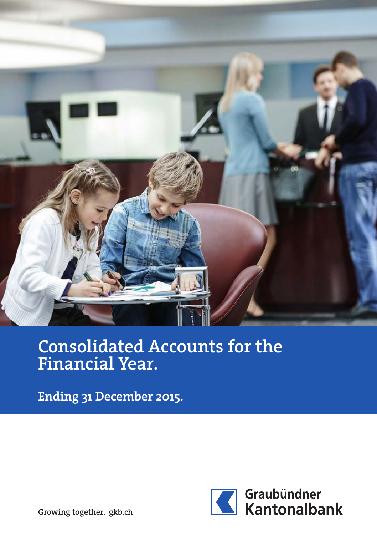

# Consolidated Accounts for the Financial Year.

Ending 31 December 2015.



Growing together. gkb.ch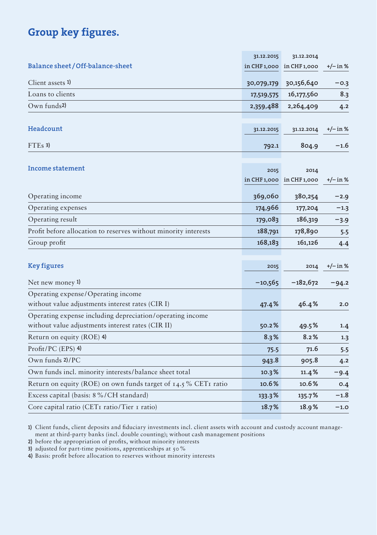# Group key figures.

|                                                                   | 31.12.2015 | 31.12.2014                |          |
|-------------------------------------------------------------------|------------|---------------------------|----------|
| Balance sheet/Off-balance-sheet                                   |            | in CHF 1,000 in CHF 1,000 | +/– in % |
| Client assets 1)                                                  | 30,079,179 | 30,156,640                | $-0.3$   |
| Loans to clients                                                  | 17,519,575 | 16,177,560                | 8.3      |
| Own funds <sup>2</sup>                                            | 2,359,488  | 2,264,409                 | 4.2      |
|                                                                   |            |                           |          |
| Headcount                                                         | 31.12.2015 | 31.12.2014                | +/– in % |
| $FTEs$ 3)                                                         | 792.1      | 804.9                     | $-1.6$   |
|                                                                   |            |                           |          |
| Income statement                                                  | 2015       | 2014                      |          |
|                                                                   |            | in CHF 1,000 in CHF 1,000 | +/– in % |
| Operating income                                                  | 369,060    | 380,254                   | $-2.9$   |
| Operating expenses                                                | 174,966    | 177,204                   | $-1.3$   |
| Operating result                                                  | 179,083    | 186,319                   | $-3.9$   |
| Profit before allocation to reserves without minority interests   | 188,791    | 178,890                   | 5.5      |
| Group profit                                                      | 168,183    | 161,126                   | 4.4      |
|                                                                   |            |                           |          |
| <b>Key figures</b>                                                | 2015       | 2014                      | +/– in % |
| Net new money 1)                                                  | $-10,565$  | $-182,672$                | $-94.2$  |
| Operating expense/Operating income                                |            |                           |          |
| without value adjustments interest rates (CIR I)                  | 47.4%      | 46.4%                     | 2.0      |
| Operating expense including depreciation/operating income         |            |                           |          |
| without value adjustments interest rates (CIR II)                 | 50.2%      | 49.5%                     | 1.4      |
| Return on equity (ROE) 4)                                         | 8.3%       | 8.2%                      | 1.3      |
| Profit/PC (EPS) 4)                                                | 75.5       | 71.6                      | 5.5      |
| Own funds 2)/PC                                                   | 943.8      | 905.8                     | 4.2      |
| Own funds incl. minority interests/balance sheet total            | 10.3%      | 11.4%                     | $-9.4$   |
| Return on equity (ROE) on own funds target of $14.5\%$ CETI ratio | 10.6%      | 10.6%                     | O.4      |
| Excess capital (basis: 8%/CH standard)                            | 133.3%     | 135.7%                    | -1.8     |
| Core capital ratio (CET1 ratio/Tier 1 ratio)                      | 18.7%      | 18.9%                     | $-1.0$   |

1) Client funds, client deposits and fiduciary investments incl. client assets with account and custody account management at third-party banks (incl. double counting); without cash management positions

2) before the appropriation of profits, without minority interests

3) adjusted for part-time positions, apprenticeships at 50%

4) Basis: profit before allocation to reserves without minority interests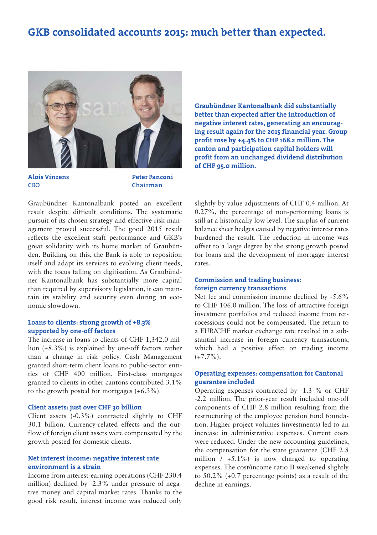# GKB consolidated accounts 2015: much better than expected.



Alois Vinzens CEO

Peter Fanconi Chairman

Graubündner Kantonalbank posted an excellent result despite difficult conditions. The systematic pursuit of its chosen strategy and effective risk management proved successful. The good 2015 result reflects the excellent staff performance and GKB's great solidarity with its home market of Graubünden. Building on this, the Bank is able to reposition itself and adapt its services to evolving client needs, with the focus falling on digitisation. As Graubündner Kantonalbank has substantially more capital than required by supervisory legislation, it can maintain its stability and security even during an economic slowdown.

### Loans to clients: strong growth of +8.3% supported by one-off factors

The increase in loans to clients of CHF 1,342.0 million (+8.3%) is explained by one-off factors rather than a change in risk policy. Cash Management granted short-term client loans to public-sector entities of CHF 400 million. First-class mortgages granted to clients in other cantons contributed 3.1% to the growth posted for mortgages (+6.3%).

#### Client assets: just over CHF 30 billion

Client assets (-0.3%) contracted slightly to CHF 30.1 billion. Currency-related effects and the outflow of foreign client assets were compensated by the growth posted for domestic clients.

### Net interest income: negative interest rate environment is a strain

Income from interest-earning operations (CHF 230.4 million) declined by -2.3% under pressure of negative money and capital market rates. Thanks to the good risk result, interest income was reduced only Graubündner Kantonalbank did substantially better than expected after the introduction of negative interest rates, generating an encouraging result again for the 2015 financial year. Group profit rose by +4.4% to CHF 168.2 million. The canton and participation capital holders will profit from an unchanged dividend distribution of CHF 95.0 million.

slightly by value adjustments of CHF 0.4 million. At 0.27%, the percentage of non-performing loans is still at a historically low level. The surplus of current balance sheet hedges caused by negative interest rates burdened the result. The reduction in income was offset to a large degree by the strong growth posted for loans and the development of mortgage interest rates.

### Commission and trading business: foreign currency transactions

Net fee and commission income declined by -5.6% to CHF 106.0 million. The loss of attractive foreign investment portfolios and reduced income from retrocessions could not be compensated. The return to a EUR/CHF market exchange rate resulted in a substantial increase in foreign currency transactions, which had a positive effect on trading income  $(+7.7\%)$ .

### Operating expenses: compensation for Cantonal guarantee included

Operating expenses contracted by -1.3 % or CHF -2.2 million. The prior-year result included one-off components of CHF 2.8 million resulting from the restructuring of the employee pension fund foundation. Higher project volumes (investments) led to an increase in administrative expenses. Current costs were reduced. Under the new accounting guidelines, the compensation for the state guarantee (CHF 2.8 million  $/ +5.1\%$  is now charged to operating expenses. The cost/income ratio II weakened slightly to 50.2% (+0.7 percentage points) as a result of the decline in earnings.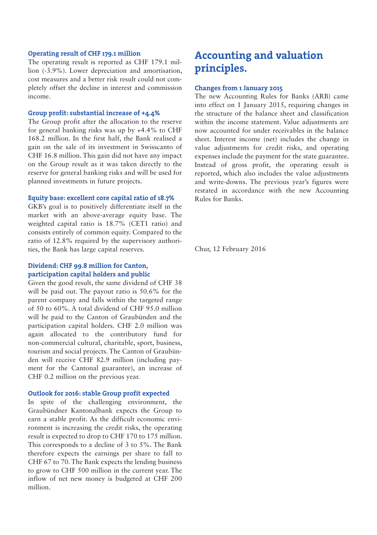#### Operating result of CHF 179.1 million

The operating result is reported as CHF 179.1 million (-3.9%). Lower depreciation and amortisation, cost measures and a better risk result could not completely offset the decline in interest and commission income.

### Group profit: substantial increase of +4.4%

The Group profit after the allocation to the reserve for general banking risks was up by +4.4% to CHF 168.2 million. In the first half, the Bank realised a gain on the sale of its investment in Swisscanto of CHF 16.8 million. This gain did not have any impact on the Group result as it was taken directly to the reserve for general banking risks and will be used for planned investments in future projects.

#### Equity base: excellent core capital ratio of 18.7%

GKB's goal is to positively differentiate itself in the market with an above-average equity base. The weighted capital ratio is 18.7% (CET1 ratio) and consists entirely of common equity. Compared to the ratio of 12.8% required by the supervisory authorities, the Bank has large capital reserves.

### Dividend: CHF 99.8 million for Canton, participation capital holders and public

Given the good result, the same dividend of CHF 38 will be paid out. The payout ratio is 50.6% for the parent company and falls within the targeted range of 50 to 60%. A total dividend of CHF 95.0 million will be paid to the Canton of Graubünden and the participation capital holders. CHF 2.0 million was again allocated to the contributory fund for non-commercial cultural, charitable, sport, business, tourism and social projects. The Canton of Graubünden will receive CHF 82.9 million (including payment for the Cantonal guarantee), an increase of CHF 0.2 million on the previous year.

### Outlook for 2016: stable Group profit expected

In spite of the challenging environment, the Graubündner Kantonalbank expects the Group to earn a stable profit. As the difficult economic environment is increasing the credit risks, the operating result is expected to drop to CHF 170 to 175 million. This corresponds to a decline of 3 to 5%. The Bank therefore expects the earnings per share to fall to CHF 67 to 70. The Bank expects the lending business to grow to CHF 500 million in the current year. The inflow of net new money is budgeted at CHF 200 million.

# Accounting and valuation principles.

### Changes from 1 January 2015

The new Accounting Rules for Banks (ARB) came into effect on 1 January 2015, requiring changes in the structure of the balance sheet and classification within the income statement. Value adjustments are now accounted for under receivables in the balance sheet. Interest income (net) includes the change in value adjustments for credit risks, and operating expenses include the payment for the state guarantee. Instead of gross profit, the operating result is reported, which also includes the value adjustments and write-downs. The previous year's figures were restated in accordance with the new Accounting Rules for Banks.

Chur, 12 February 2016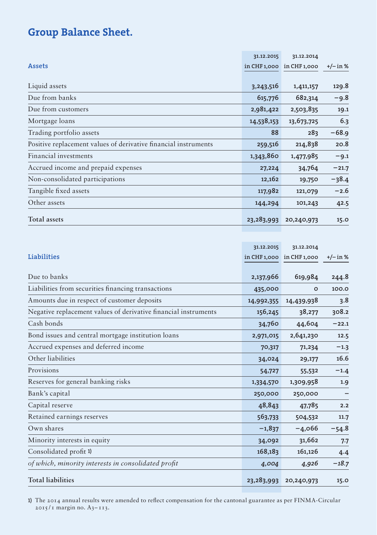# Group Balance Sheet.

|                                                                 | 31.12.2015   | 31.12.2014   |            |
|-----------------------------------------------------------------|--------------|--------------|------------|
| <b>Assets</b>                                                   | in CHF 1,000 | in CHF 1,000 | $+/-$ in % |
|                                                                 |              |              |            |
| Liquid assets                                                   | 3,243,516    | 1,411,157    | 129.8      |
| Due from banks                                                  | 615,776      | 682,314      | $-9.8$     |
| Due from customers                                              | 2,981,422    | 2,503,835    | 19.1       |
| Mortgage loans                                                  | 14,538,153   | 13,673,725   | 6.3        |
| Trading portfolio assets                                        | 88           | 283          | $-68.9$    |
| Positive replacement values of derivative financial instruments | 259,516      | 214,838      | 20.8       |
| Financial investments                                           | 1,343,860    | 1,477,985    | $-9.1$     |
| Accrued income and prepaid expenses                             | 27,224       | 34,764       | $-21.7$    |
| Non-consolidated participations                                 | 12,162       | 19,750       | $-38.4$    |
| Tangible fixed assets                                           | 117,982      | 121,079      | $-2.6$     |
| Other assets                                                    | 144,294      | 101,243      | 42.5       |
| Total assets                                                    | 23,283,993   | 20,240,973   | 15.0       |

|                                                                 | 31.12.2015 | 31.12.2014                    |            |
|-----------------------------------------------------------------|------------|-------------------------------|------------|
| Liabilities                                                     |            | $in$ CHF 1,000 $in$ CHF 1,000 | $+/-$ in % |
| Due to banks                                                    |            |                               |            |
|                                                                 | 2,137,966  | 619,984                       | 244.8      |
| Liabilities from securities financing transactions              | 435,000    | $\Omega$                      | 100.0      |
| Amounts due in respect of customer deposits                     | 14,992,355 | 14,439,938                    | 3.8        |
| Negative replacement values of derivative financial instruments | 156,245    | 38,277                        | 308.2      |
| Cash bonds                                                      | 34,760     | 44,604                        | $-22.1$    |
| Bond issues and central mortgage institution loans              | 2,971,015  | 2,641,230                     | 12.5       |
| Accrued expenses and deferred income                            | 70,317     | 71,234                        | $-1.3$     |
| Other liabilities                                               | 34,024     | 29,177                        | 16.6       |
| Provisions                                                      | 54,727     | 55,532                        | $-1.4$     |
| Reserves for general banking risks                              | 1,334,570  | 1,309,958                     | 1.9        |
| Bank's capital                                                  | 250,000    | 250,000                       |            |
| Capital reserve                                                 | 48,843     | 47,785                        | 2.2        |
| Retained earnings reserves                                      | 563,733    | 504,532                       | 11.7       |
| Own shares                                                      | $-1,837$   | $-4,066$                      | $-54.8$    |
| Minority interests in equity                                    | 34,092     | 31,662                        | 7.7        |
| Consolidated profit 1)                                          | 168,183    | 161,126                       | 4.4        |
| of which, minority interests in consolidated profit             | 4,004      | 4,926                         | $-18.7$    |
| <b>Total liabilities</b>                                        | 23,283,993 | 20,240,973                    | 15.0       |

1) The 2014 annual results were amended to reflect compensation for the cantonal guarantee as per FINMA-Circular  $2015 / I$  margin no. A3-113.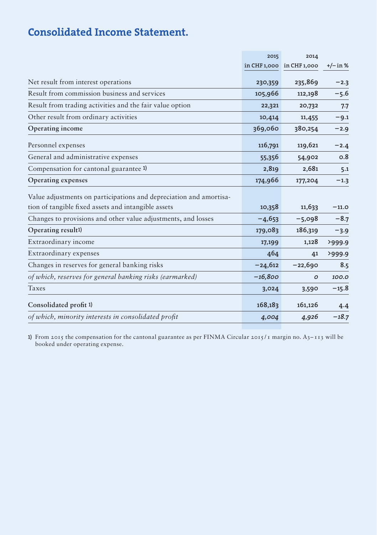# Consolidated Income Statement.

|                                                                    | 2015      | 2014                      |            |
|--------------------------------------------------------------------|-----------|---------------------------|------------|
|                                                                    |           | in CHF 1,000 in CHF 1,000 | $+/-$ in % |
| Net result from interest operations                                | 230,359   | 235,869                   | $-2.3$     |
| Result from commission business and services                       | 105,966   | 112,198                   | $-5.6$     |
| Result from trading activities and the fair value option           | 22,321    | 20,732                    | 7.7        |
| Other result from ordinary activities                              | 10,414    | 11,455                    | $-9.1$     |
| Operating income                                                   | 369,060   | 380,254                   | $-2.9$     |
| Personnel expenses                                                 | 116,791   | 119,621                   | $-2.4$     |
| General and administrative expenses                                | 55,356    | 54,902                    | 0.8        |
| Compensation for cantonal guarantee 1)                             | 2,819     | 2,681                     | 5.1        |
| Operating expenses                                                 | 174,966   | 177,204                   | $-1.3$     |
| Value adjustments on participations and depreciation and amortisa- |           |                           |            |
| tion of tangible fixed assets and intangible assets                | 10,358    | 11,633                    | $-11.0$    |
| Changes to provisions and other value adjustments, and losses      | $-4,653$  | $-5,098$                  | $-8.7$     |
| Operating result1)                                                 | 179,083   | 186,319                   | $-3.9$     |
| Extraordinary income                                               | 17,199    | 1,128                     | >999.9     |
| Extraordinary expenses                                             | 464       | 41                        | >999.9     |
| Changes in reserves for general banking risks                      | $-24,612$ | $-22,690$                 | 8.5        |
| of which, reserves for general banking risks (earmarked)           | $-16,800$ | ο                         | 100.0      |
| Taxes                                                              | 3,024     | 3,590                     | $-15.8$    |
| Consolidated profit 1)                                             | 168,183   | 161,126                   | 4.4        |
| of which, minority interests in consolidated profit                | 4,004     | 4,926                     | $-18.7$    |

1) From 2015 the compensation for the cantonal guarantee as per FINMA Circular 2015 / 1 margin no. A3– 113 will be booked under operating expense.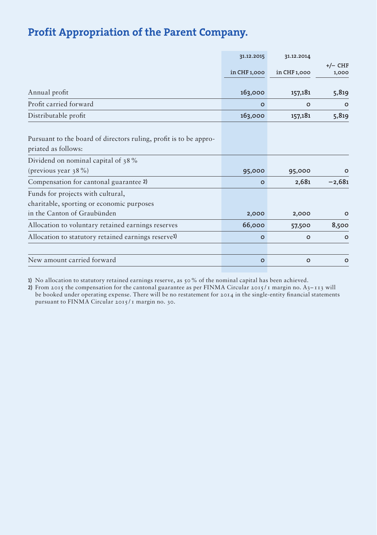# Profit Appropriation of the Parent Company.

|                                                                   | 31.12.2015   | 31.12.2014   |           |
|-------------------------------------------------------------------|--------------|--------------|-----------|
|                                                                   |              |              | $+/-$ CHF |
|                                                                   | in CHF 1,000 | in CHF 1,000 | 1,000     |
|                                                                   |              |              |           |
| Annual profit                                                     | 163,000      | 157,181      | 5,819     |
| Profit carried forward                                            | $\circ$      | $\circ$      | $\circ$   |
| Distributable profit                                              | 163,000      | 157,181      | 5,819     |
|                                                                   |              |              |           |
| Pursuant to the board of directors ruling, profit is to be appro- |              |              |           |
| priated as follows:                                               |              |              |           |
| Dividend on nominal capital of 38%                                |              |              |           |
| (previous year $38\%$ )                                           | 95,000       | 95,000       | $\circ$   |
| Compensation for cantonal guarantee 2)                            | $\Omega$     | 2,681        | $-2,681$  |
| Funds for projects with cultural,                                 |              |              |           |
| charitable, sporting or economic purposes                         |              |              |           |
| in the Canton of Graubünden                                       | 2,000        | 2,000        | o         |
| Allocation to voluntary retained earnings reserves                | 66,000       | 57,500       | 8,500     |
| Allocation to statutory retained earnings reserve1)               | $\circ$      | $\circ$      | $\circ$   |
|                                                                   |              |              |           |
| New amount carried forward                                        | $\circ$      | $\circ$      | $\circ$   |
|                                                                   |              |              |           |

1) No allocation to statutory retained earnings reserve, as 50% of the nominal capital has been achieved.

2) From 2015 the compensation for the cantonal guarantee as per FINMA Circular 2015/1 margin no.  $A_3$ –113 will be booked under operating expense. There will be no restatement for 2014 in the single-entity financial statements pursuant to FINMA Circular 2015/1 margin no. 30.